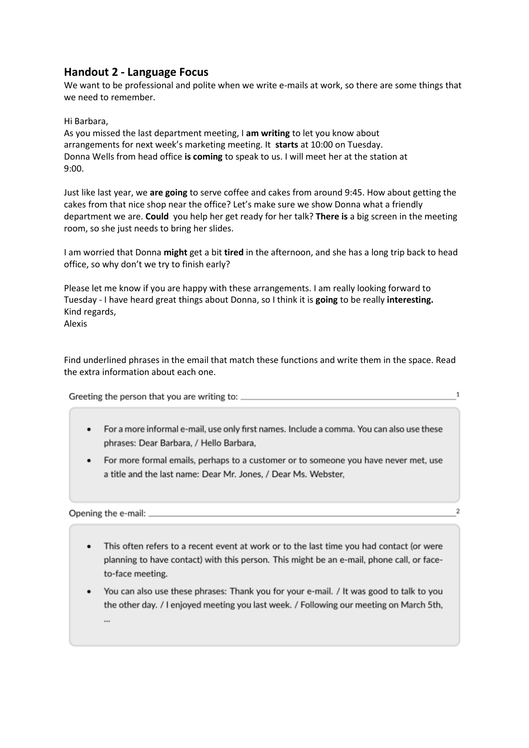## **Handout 2 - Language Focus**

We want to be professional and polite when we write e-mails at work, so there are some things that we need to remember.

Hi Barbara,

As you missed the last department meeting, I **am writing** to let you know about arrangements for next week's marketing meeting. It **starts** at 10:00 on Tuesday. Donna Wells from head office **is coming** to speak to us. I will meet her at the station at 9:00.

Just like last year, we **are going** to serve coffee and cakes from around 9:45. How about getting the cakes from that nice shop near the office? Let's make sure we show Donna what a friendly department we are. **Could** you help her get ready for her talk? **There is** a big screen in the meeting room, so she just needs to bring her slides.

I am worried that Donna **might** get a bit **tired** in the afternoon, and she has a long trip back to head office, so why don't we try to finish early?

Please let me know if you are happy with these arrangements. I am really looking forward to Tuesday - I have heard great things about Donna, so I think it is **going** to be really **interesting.** Kind regards, Alexis

Find underlined phrases in the email that match these functions and write them in the space. Read the extra information about each one.

Greeting the person that you are writing to:

 $\mathbf{1}$ 

 $\overline{2}$ 

- For a more informal e-mail, use only first names. Include a comma. You can also use these phrases: Dear Barbara, / Hello Barbara,
- For more formal emails, perhaps to a customer or to someone you have never met, use a title and the last name: Dear Mr. Jones. / Dear Ms. Webster.

Opening the e-mail:  $\overline{\phantom{a}}$ 

- This often refers to a recent event at work or to the last time you had contact (or were planning to have contact) with this person. This might be an e-mail, phone call, or faceto-face meeting.
- You can also use these phrases: Thank you for your e-mail. / It was good to talk to you the other day. / I enjoyed meeting you last week. / Following our meeting on March 5th,